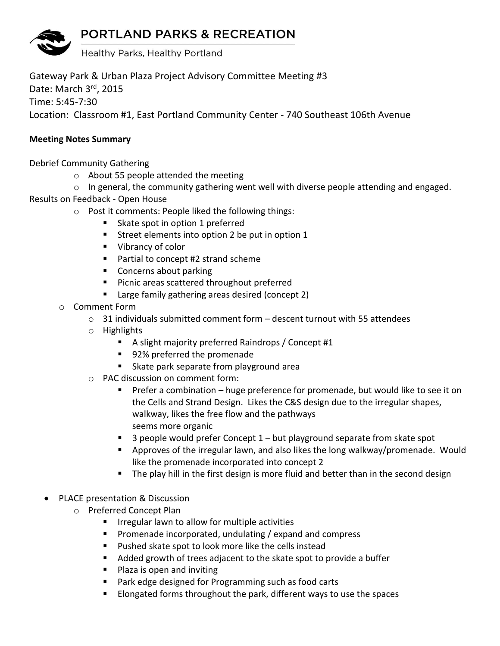## **PORTLAND PARKS & RECREATION**



Gateway Park & Urban Plaza Project Advisory Committee Meeting #3 Date: March 3rd, 2015 Time: 5:45-7:30 Location: Classroom #1, East Portland Community Center - 740 Southeast 106th Avenue

## **Meeting Notes Summary**

Debrief Community Gathering

- o About 55 people attended the meeting
- $\circ$  In general, the community gathering went well with diverse people attending and engaged.

Results on Feedback - Open House

- o Post it comments: People liked the following things:
	- Skate spot in option 1 preferred
	- Street elements into option 2 be put in option 1
	- Vibrancy of color
	- Partial to concept #2 strand scheme
	- **Concerns about parking**
	- **Picnic areas scattered throughout preferred**
	- Large family gathering areas desired (concept 2)
- o Comment Form
	- $\circ$  31 individuals submitted comment form descent turnout with 55 attendees
	- o Highlights
		- A slight majority preferred Raindrops / Concept #1
		- 92% preferred the promenade
		- Skate park separate from playground area
	- o PAC discussion on comment form:
		- Prefer a combination huge preference for promenade, but would like to see it on the Cells and Strand Design. Likes the C&S design due to the irregular shapes, walkway, likes the free flow and the pathways seems more organic
		- $\blacksquare$  3 people would prefer Concept 1 but playground separate from skate spot
		- Approves of the irregular lawn, and also likes the long walkway/promenade. Would like the promenade incorporated into concept 2
		- The play hill in the first design is more fluid and better than in the second design
- PLACE presentation & Discussion
	- o Preferred Concept Plan
		- $\blacksquare$  Irregular lawn to allow for multiple activities
		- **Promenade incorporated, undulating / expand and compress**
		- Pushed skate spot to look more like the cells instead
		- Added growth of trees adjacent to the skate spot to provide a buffer
		- **Plaza is open and inviting**
		- Park edge designed for Programming such as food carts
		- **Elongated forms throughout the park, different ways to use the spaces**